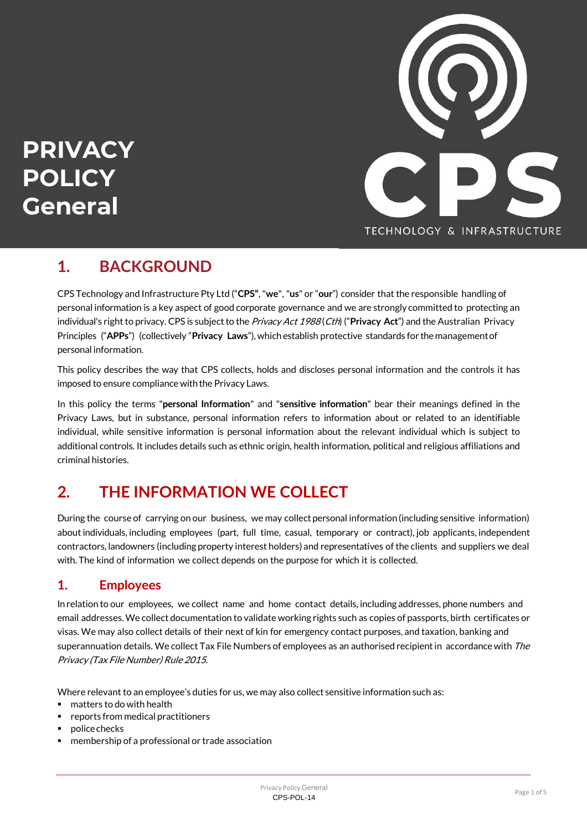

# $PRIVACY$ **POLICY General**

### **1. BACKGROUND**

CPS Technology and Infrastructure Pty Ltd ("**CPS"**,"**we**", "**us**" or "**our**") consider that the responsible handling of personal information is a key aspect of good corporate governance and we are strongly committed to protecting an individual's right to privacy. CPS is subject to the Privacy Act 1988 (Cth) ("**Privacy Act**") and the Australian Privacy Principles ("**APPs**") (collectively "**Privacy Laws**"), which establish protective standards for themanagementof personal information.

This policy describes the way that CPS collects, holds and discloses personal information and the controls it has imposed to ensure compliance with the Privacy Laws.

In this policy the terms "**personal Information**" and "**sensitive information**" bear their meanings defined in the Privacy Laws, but in substance, personal information refers to information about or related to an identifiable individual, while sensitive information is personal information about the relevant individual which is subject to additional controls. Itincludes details such as ethnic origin, health information, political and religious affiliations and criminal histories.

# **2. THE INFORMATION WE COLLECT**

During the course of carrying on our business, we may collect personal information (including sensitive information) aboutindividuals, including employees (part, full time, casual, temporary or contract), job applicants, independent contractors, landowners (including property interest holders) and representatives of the clients and suppliers we deal with. The kind of information we collect depends on the purpose for which it is collected.

#### **1. Employees**

In relation to our employees, we collect name and home contact details, including addresses, phone numbers and email addresses. We collect documentation to validate working rights such as copies of passports, birth certificates or visas. We may also collect details of their next of kin for emergency contact purposes, and taxation, banking and superannuation details. We collect Tax File Numbers of employees as an authorised recipient in accordance with The Privacy (Tax File Number) Rule 2015.

Where relevant to an employee's duties for us, we may also collect sensitive information such as:

- matters to do with health
- reports from medical practitioners
- police checks
- membership of a professional or trade association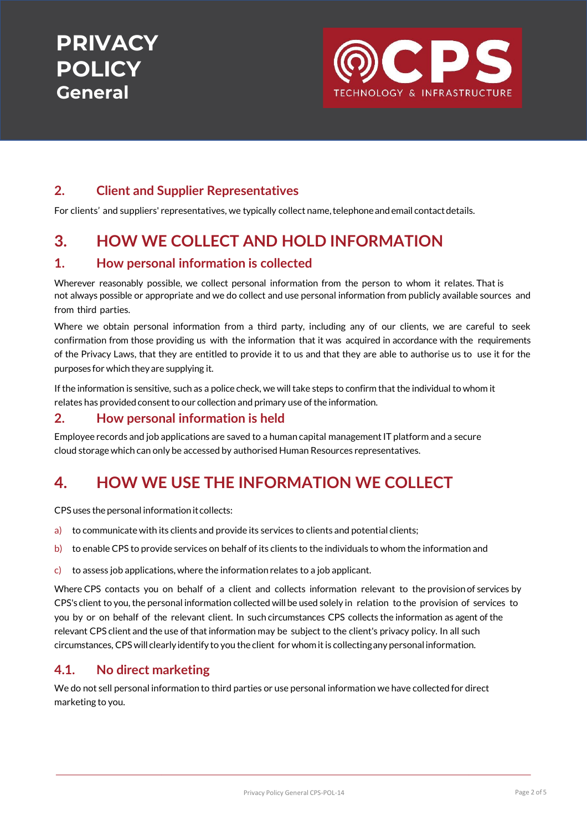

#### **2. Client and Supplier Representatives**

For clients' and suppliers' representatives, we typically collect name, telephone and email contact details.

### **3. HOW WE COLLECT AND HOLD INFORMATION**

#### **1. How personal information is collected**

Wherever reasonably possible, we collect personal information from the person to whom it relates. That is not always possible or appropriate and we do collect and use personal information from publicly available sources and from third parties.

Where we obtain personal information from a third party, including any of our clients, we are careful to seek confirmation from those providing us with the information that it was acquired in accordance with the requirements of the Privacy Laws, that they are entitled to provide it to us and that they are able to authorise us to use it for the purposes for which theyare supplying it.

If the information is sensitive, such as a police check, we will take steps to confirm that the individual to whom it relates has provided consent to our collection and primary use of the information.

#### **2. How personal information is held**

Employee records and job applications are saved to a human capital management IT platform and a secure cloud storage which can only be accessed by authorised Human Resources representatives.

### **4. HOW WE USE THE INFORMATION WE COLLECT**

CPS uses the personal informationitcollects:

- a) to communicate with its clients and provide its services to clients and potential clients;
- b) to enable CPS to provide services on behalf of its clients to the individuals to whom the information and
- c) to assess job applications, where the information relates to a job applicant.

Where CPS contacts you on behalf of a client and collects information relevant to the provision of services by CPS's client to you, the personal information collected will be used solely in relation to the provision of services to you by or on behalf of the relevant client. In such circumstances CPS collects the information as agent of the relevant CPS client and the use of that information may be subject to the client's privacy policy. In all such circumstances, CPS will clearlyidentify to you the client for whomitis collectingany personalinformation.

#### **4.1. No direct marketing**

We do not sell personal information to third parties or use personal information we have collected for direct marketing to you.